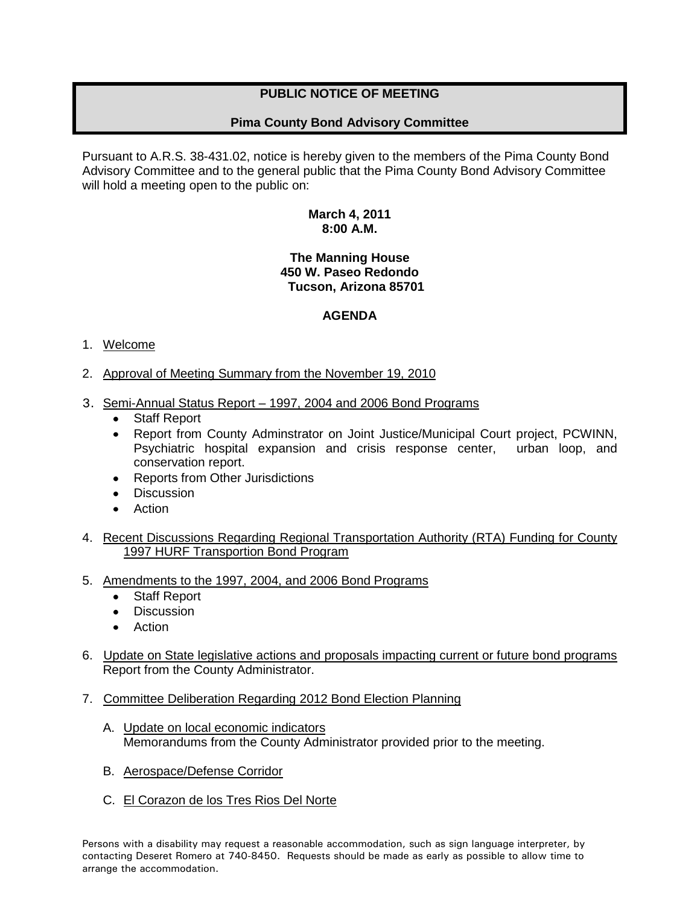# **PUBLIC NOTICE OF MEETING**

## **Pima County Bond Advisory Committee**

Pursuant to A.R.S. 38-431.02, notice is hereby given to the members of the Pima County Bond Advisory Committee and to the general public that the Pima County Bond Advisory Committee will hold a meeting open to the public on:

#### **March 4, 2011 8:00 A.M.**

### **The Manning House 450 W. Paseo Redondo Tucson, Arizona 85701**

### **AGENDA**

### 1. Welcome

- 2. Approval of Meeting Summary from the November 19, 2010
- 3. Semi-Annual Status Report 1997, 2004 and 2006 Bond Programs
	- Staff Report
	- Report from County Adminstrator on Joint Justice/Municipal Court project, PCWINN, Psychiatric hospital expansion and crisis response center, urban loop, and conservation report.
	- Reports from Other Jurisdictions
	- **Discussion**
	- Action
- 4. Recent Discussions Regarding Regional Transportation Authority (RTA) Funding for County 1997 HURF Transportion Bond Program
- 5. Amendments to the 1997, 2004, and 2006 Bond Programs
	- $\bullet$ Staff Report
	- Discussion
	- Action
- 6. Update on State legislative actions and proposals impacting current or future bond programs Report from the County Administrator.
- 7. Committee Deliberation Regarding 2012 Bond Election Planning
	- A. Update on local economic indicators Memorandums from the County Administrator provided prior to the meeting.
	- B. Aerospace/Defense Corridor
	- C. El Corazon de los Tres Rios Del Norte

Persons with a disability may request a reasonable accommodation, such as sign language interpreter, by contacting Deseret Romero at 740-8450. Requests should be made as early as possible to allow time to arrange the accommodation.